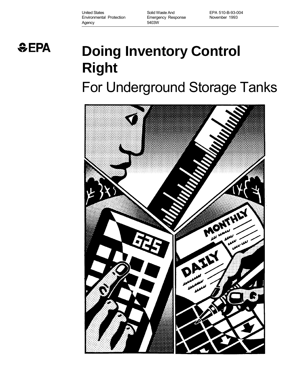United States **Solid Waste And** EPA 510-B-93-004 Environmental Protection Emergency Response November 1993 Agency 5403W

 $EPA$ 

# **Doing Inventory Control Right**  For Underground Storage Tanks

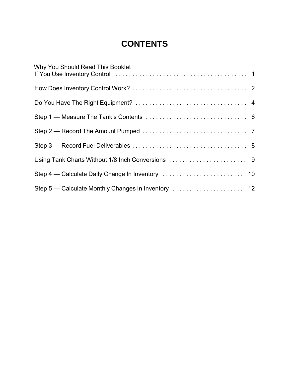### **CONTENTS**

| Why You Should Read This Booklet |  |
|----------------------------------|--|
|                                  |  |
|                                  |  |
|                                  |  |
|                                  |  |
|                                  |  |
|                                  |  |
|                                  |  |
|                                  |  |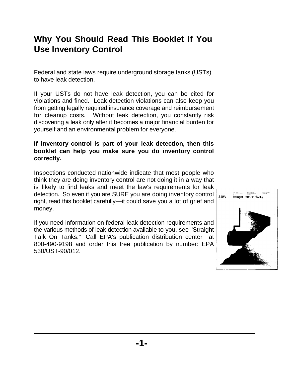### **Why You Should Read This Booklet If You Use Inventory Control**

 Federal and state laws require underground storage tanks (USTs) to have leak detection.

 If your USTs do not have leak detection, you can be cited for violations and fined. Leak detection violations can also keep you from getting legally required insurance coverage and reimbursement for cleanup costs. Without leak detection, you constantly risk discovering a leak only after it becomes a major financial burden for yourself and an environmental problem for everyone.

### **If inventory control is part of your leak detection, then this booklet can help you make sure you do inventory control correctly.**

 Inspections conducted nationwide indicate that most people who think they are doing inventory control are not doing it in a way that is likely to find leaks and meet the law's requirements for leak detection. So even if you are SURE you are doing inventory control right, read this booklet carefully—it could save you a lot of grief and money.

 If you need information on federal leak detection requirements and the various methods of leak detection available to you, see "Straight Talk On Tanks." Call EPA's publication distribution center at 800-490-9198 and order this free publication by number: EPA 530/UST-90/012.

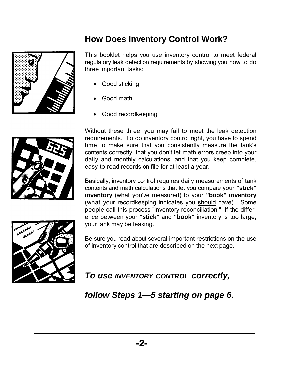## **How Does Inventory Control Work?**

 This booklet helps you use inventory control to meet federal regulatory leak detection requirements by showing you how to do three important tasks:

- Good sticking
- Good math
- Good recordkeeping



 Without these three, you may fail to meet the leak detection requirements. To do inventory control right, you have to spend time to make sure that you consistently measure the tank's easy-to-read records on file for at least a year. contents correctly, that you don't let math errors creep into your daily and monthly calculations, and that you keep complete,

 Basically, inventory control requires daily measurements of tank (what your recordkeeping indicates you should have). Some people call this process "inventory reconciliation." If the differ- your tank may be leaking. contents and math calculations that let you compare your **"stick" inventory** (what you've measured) to your **"book" inventory**  ence between your **"stick"** and **"book"** inventory is too large,



 of inventory control that are described on the next page. Be sure you read about several important restrictions on the use

 *To use INVENTORY CONTROL correctly,* 

 *follow Steps 1—5 starting on page 6.*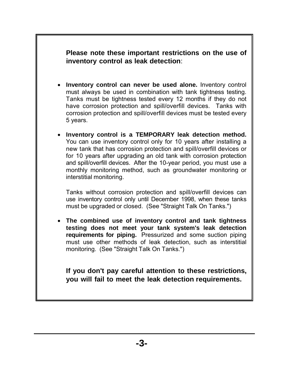**Please note these important restrictions on the use of inventory control as leak detection**:

- • **Inventory control can never be used alone.** Inventory control must always be used in combination with tank tightness testing. Tanks must be tightness tested every 12 months if they do not have corrosion protection and spill/overfill devices. Tanks with corrosion protection and spill/overfill devices must be tested every 5 years.
- • **Inventory control is a TEMPORARY leak detection method.**  You can use inventory control only for 10 years after installing a for 10 years after upgrading an old tank with corrosion protection monthly monitoring method, such as groundwater monitoring or interstitial monitoring. new tank that has corrosion protection and spill/overfill devices or and spill/overfill devices. After the 10-year period, you must use a

 use inventory control only until December 1998, when these tanks must be upgraded or closed. (See "Straight Talk On Tanks.") Tanks without corrosion protection and spill/overfill devices can

 **testing does not meet your tank system's leak detection**  monitoring. (See "Straight Talk On Tanks.") • **The combined use of inventory control and tank tightness requirements for piping.** Pressurized and some suction piping must use other methods of leak detection, such as interstitial

 **If you don't pay careful attention to these restrictions, you will fail to meet the leak detection requirements.**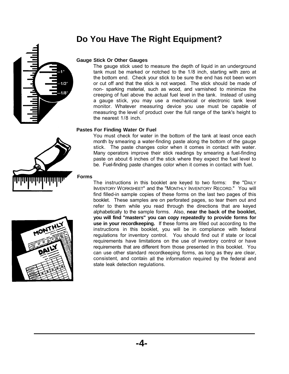### **Do You Have The Right Equipment?**



#### **Gauge Stick Or Other Gauges**

 The gauge stick used to measure the depth of liquid in an underground tank must be marked or notched to the 1/8 inch, starting with zero at the bottom end. Check your stick to be sure the end has not been worn or cut off and that the stick is not warped. The stick should be made of non- sparking material, such as wood, and varnished to minimize the creeping of fuel above the actual fuel level in the tank. Instead of using a gauge stick, you may use a mechanical or electronic tank level monitor. Whatever measuring device you use must be capable of measuring the level of product over the full range of the tank's height to the nearest 1/8 inch.

#### **Pastes For Finding Water Or Fuel**

 You must check for water in the bottom of the tank at least once each month by smearing a water-finding paste along the bottom of the gauge stick. The paste changes color when it comes in contact with water. Many operators improve their stick readings by smearing a fuel-finding paste on about 6 inches of the stick where they expect the fuel level to be. Fuel-finding paste changes color when it comes in contact with fuel.

#### **Forms**



 The instructions in this booklet are keyed to two forms: the "DAILY INVENTORY WORKSHEET" and the "MONTHLY INVENTORY RECORD." You will find filled-in sample copies of these forms on the last two pages of this booklet. These samples are on perforated pages, so tear them out and refer to them while you read through the directions that are keyed alphabetically to the sample forms. Also, **near the back of the booklet, you will find "masters" you can copy repeatedly to provide forms for use in your recordkeeping.** If these forms are filled out according to the instructions in this booklet, you will be in compliance with federal regulations for inventory control. You should find out if state or local requirements have limitations on the use of inventory control or have requirements that are different from those presented in this booklet. You can use other standard recordkeeping forms, as long as they are clear, consistent, and contain all the information required by the federal and state leak detection regulations.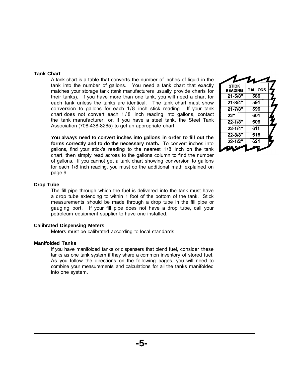#### **Tank Chart**

 A tank chart is a table that converts the number of inches of liquid in the tank into the number of gallons. You need a tank chart that exactly matches your storage tank (tank manufacturers usually provide charts for their tanks). If you have more than one tank, you will need a chart for each tank unless the tanks are identical. The tank chart must show conversion to gallons for each 1/8 inch stick reading. If your tank chart does not convert each 1 / 8 inch reading into gallons, contact the tank manufacturer, or, if you have a steel tank, the Steel Tank Association (708-438-8265) to get an appropriate chart.

 **You always need to convert inches into gallons in order to fill out the forms correctly and to do the necessary math.** To convert inches into gallons, find your stick's reading to the nearest 1/8 inch on the tank chart, then simply read across to the gallons column to find the number of gallons. If you cannot get a tank chart showing conversion to gallons for each 1/8 inch reading, you must do the additional math explained on page 9.

#### **STICK GALLONS READING**  $21 - 5/8"$ 586  $591$  $21 - 3/4"$  $21 - 7/8"$  $596$  $\overline{22}$ "  $601$  $22 - 1/8"$ 606  $22 - 1/4"$ 611  $22 - 3/8"$ 616  $22 - 1/2"$  $621$

#### **Drop Tube**

 The fill pipe through which the fuel is delivered into the tank must have a drop tube extending to within 1 foot of the bottom of the tank. Stick measurements should be made through a drop tube in the fill pipe or gauging port. If your fill pipe does not have a drop tube, call your petroleum equipment supplier to have one installed.

#### **Calibrated Dispensing Meters**

Meters must be calibrated according to local standards.

#### **Manifolded Tanks**

 If you have manifolded tanks or dispensers that blend fuel, consider these tanks as one tank system if they share a common inventory of stored fuel. As you follow the directions on the following pages, you will need to combine your measurements and calculations for all the tanks manifolded into one system.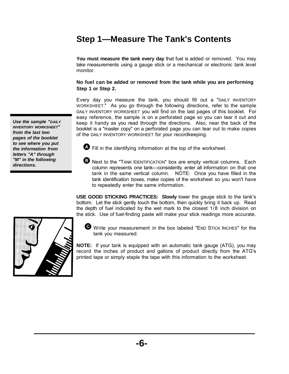### **Step 1—Measure The Tank's Contents**

 **You must measure the tank every day** that fuel is added or removed. You may take measurements using a gauge stick or a mechanical or electronic tank level monitor.

 **No fuel can be added or removed from the tank while you are performing Step 1 or Step 2.** 

 Every day you measure the tank, you should fill out a "DAILY INVENTORY WORKSHEET." As you go through the following directions, refer to the sample DAILY INVENTORY WORKSHEET you will find on the last pages of this booklet. For easy reference, the sample is on a perforated page so you can tear it out and keep it handy as you read through the directions. Also, near the back of the booklet is a "master copy" on a perforated page you can tear out to make copies of the DAILY INVENTORY WORKSHEET for your recordkeeping.

 *Use the sample "DAILY from the last two pages of the booklet to see where you put letters "A" through "M" in the following INVENTORY WORKSHEET" the information from directions.* 

Fill in the identifying information at the top of the worksheet.

 Next to the "TANK IDENTIFICATION" box are empty vertical columns. Each column represents one tank—consistently enter all information on that one tank in the same vertical column. NOTE: Once you have filled in the tank identification boxes, make copies of the worksheet so you won't have to repeatedly enter the same information.

 **USE GOOD STICKING PRACTICES: Slowly** lower the gauge stick to the tank's bottom. Let the stick gently touch the bottom, then quickly bring it back up. Read the depth of fuel indicated by the wet mark to the closest 1/8 inch division on the stick. Use of fuel-finding paste will make your stick readings more accurate.



 Write your measurement in the box labeled "END STICK INCHES" for the tank you measured.

 **NOTE:** If your tank is equipped with an automatic tank gauge (ATG), you may record the inches of product and gallons of product directly from the ATG's printed tape or simply staple the tape with this information to the worksheet.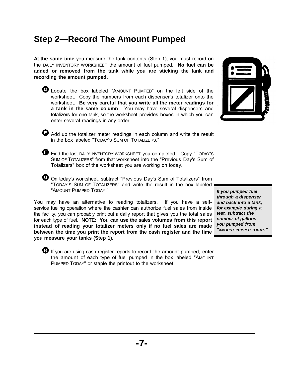### **Step 2—Record The Amount Pumped**

 **At the same time** you measure the tank contents (Step 1), you must record on the DAILY INVENTORY WORKSHEET the amount of fuel pumped. **No fuel can be added or removed from the tank while you are sticking the tank and recording the amount pumped.** 

 Locate the box labeled "AMOUNT PUMPED" on the left side of the worksheet. Copy the numbers from each dispenser's totalizer onto the  worksheet. **Be very careful that you write all the meter readings for a tank in the same column**. You may have several dispensers and totalizers for one tank, so the worksheet provides boxes in which you can enter several readings in any order.



 Add up the totalizer meter readings in each column and write the result in the box labeled "TODAY'S SUM OF TOTALIZERS."

 Find the last DAILY INVENTORY WORKSHEET you completed. Copy "TODAY'S SUM OF TOTALIZERS" from that worksheet into the "Previous Day's Sum of Totalizers" box of the worksheet you are working on today.

 On today's worksheet, subtract "Previous Day's Sum of Totalizers" from "TODAY'S SUM OF TOTALIZERS" and write the result in the box labeled "AMOUNT PUMPED TODAY."

 You may have an alternative to reading totalizers. If you have a self- service fueling operation where the cashier can authorize fuel sales from inside the facility, you can probably print out a daily report that gives you the total sales for each type of fuel. **NOTE: You can use the sales volumes from this report instead of reading your totalizer meters only if no fuel sales are made between the time you print the report from the cash register and the time you measure your tanks (Step 1).** 

 If you are using cash register reports to record the amount pumped, enter the amount of each type of fuel pumped in the box labeled "AMOUNT PUMPED TODAY" or staple the printout to the worksheet.

 *If you pumped fuel through a dispenser and back into a tank, for example during a test, subtract the number of gallons you pumped from "AMOUNT PUMPED TODAY."*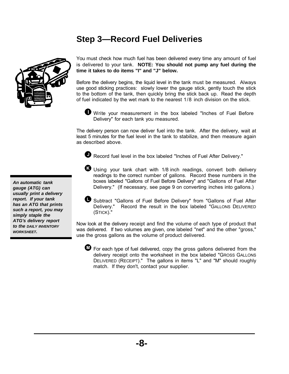## **Step 3—Record Fuel Deliveries**



 You must check how much fuel has been delivered every time any amount of fuel is delivered to your tank. **NOTE: You should not pump any fuel during the time it takes to do items "I" and "J" below.** 

 Before the delivery begins, the liquid level in the tank must be measured. Always use good sticking practices: slowly lower the gauge stick, gently touch the stick to the bottom of the tank, then quickly bring the stick back up. Read the depth of fuel indicated by the wet mark to the nearest 1/8 inch division on the stick.



 The delivery person can now deliver fuel into the tank. After the delivery, wait at least 5 minutes for the fuel level in the tank to stabilize, and then measure again as described above.

Record fuel level in the box labeled "Inches of Fuel After Delivery."

 Using your tank chart with 1/8 inch readings, convert both delivery readings to the correct number of gallons. Record these numbers in the boxes labeled "Gallons of Fuel Before Delivery" and "Gallons of Fuel After Delivery." (If necessary, see page 9 on converting inches into gallons.)

 Subtract "Gallons of Fuel Before Delivery" from "Gallons of Fuel After Delivery." Record the result in the box labeled "GALLONS DELIVERED (STICK)."

 Now look at the delivery receipt and find the volume of each type of product that was delivered. If two volumes are given, one labeled "net" and the other "gross," use the gross gallons as the volume of product delivered.

 For each type of fuel delivered, copy the gross gallons delivered from the delivery receipt onto the worksheet in the box labeled "GROSS GALLONS DELIVERED (RECEIPT)." The gallons in items "L" and "M" should roughly match. If they don't, contact your supplier.

 *An automatic tank usually print a delivery report. If your tank has an ATG that prints such a report, you may simply staple the ATG's delivery report to the DAILY INVENTORY gauge (ATG) can WORKSHEET.*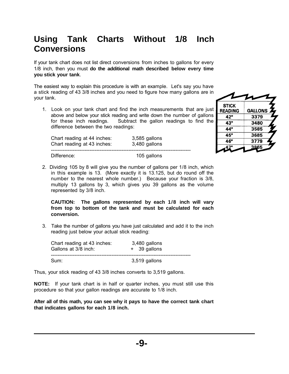### **Using Tank Charts Without 1/8 Inch Conversions**

 If your tank chart does not list direct conversions from inches to gallons for every 1/8 inch, then you must **do the additional math described below every time you stick your tank**.

 The easiest way to explain this procedure is with an example. Let's say you have a stick reading of 43 3/8 inches and you need to figure how many gallons are in your tank.

 1. Look on your tank chart and find the inch measurements that are just above and below your stick reading and write down the number of gallons for these inch readings. Subtract the gallon readings to find the difference between the two readings:

| Chart reading at 44 inches:<br>Chart reading at 43 inches: | 3,585 gallons<br>3,480 gallons |  |
|------------------------------------------------------------|--------------------------------|--|
| Difference:                                                | 105 gallons                    |  |

| ווו |                                |                      |
|-----|--------------------------------|----------------------|
| st  | <b>STICK</b><br><b>READING</b> | GALLONS <sub>2</sub> |
| ١S  | 42"                            | 3379                 |
| ۱e  | 43"                            | 3480                 |
|     | 44"                            | 3585                 |
|     | 45"                            | 3685                 |
|     | 46"                            | 3779                 |
|     | 4.                             | 3865                 |
|     |                                |                      |

 2. Dividing 105 by 8 will give you the number of gallons per 1/8 inch, which in this example is 13. (More exactly it is 13.125, but do round off the number to the nearest whole number.) Because your fraction is 3/8, multiply 13 gallons by 3, which gives you 39 gallons as the volume represented by 3/8 inch.

 **CAUTION: The gallons represented by each 1/8 inch will vary from top to bottom of the tank and must be calculated for each conversion.** 

 3. Take the number of gallons you have just calculated and add it to the inch reading just below your actual stick reading:

| Chart reading at 43 inches:<br>Gallons at 3/8 inch: | 3,480 gallons<br>+ 39 gallons |  |
|-----------------------------------------------------|-------------------------------|--|
| Sum:                                                | 3,519 gallons                 |  |

Thus, your stick reading of 43 3/8 inches converts to 3,519 gallons.

 **NOTE:** If your tank chart is in half or quarter inches, you must still use this procedure so that your gallon readings are accurate to 1/8 inch.

 **After all of this math, you can see why it pays to have the correct tank chart that indicates gallons for each 1/8 inch.**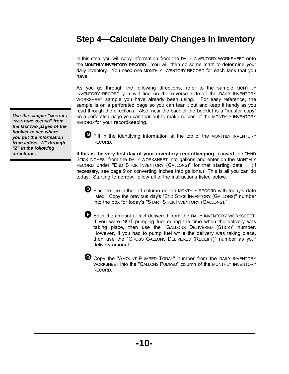### **Step 4—Calculate Daily Changes In Inventory**

 In this step, you will copy information from the DAILY INVENTORY WORKSHEET onto the **MONTHLY INVENTORY RECORD**. You will then do some math to determine your daily inventory. You need one MONTHLY INVENTORY RECORD for each tank that you have.

 As you go through the following directions, refer to the sample MONTHLY INVENTORY RECORD you will find on the reverse side of the DAILY INVENTORY WORKSHEET sample you have already been using. For easy reference, the sample is on a perforated page so you can tear it out and keep it handy as you read through the directions. Also, near the back of the booklet is a "master copy" on a perforated page you can tear out to make copies of the MONTHLY INVENTORY RECORD for your recordkeeping.

 Fill in the identifying information at the top of the MONTHLY INVENTORY RECORD.

 **If this is the very first day of your inventory recordkeeping**, convert the "END STICK INCHES" from the DAILY WORKSHEET into gallons and enter on the MONTHLY RECORD under "END STICK INVENTORY (GALLONS)" for that starting date. (If necessary, see page 9 on converting inches into gallons.) This is all you can do today. Starting tomorrow, follow all of the instructions listed below.

 Find the line in the left column on the MONTHLY RECORD with today's date listed. Copy the previous day's "END STICK INVENTORY (GALLONS)" number into the box for today's "START STICK INVENTORY (GALLONS)."

 Enter the amount of fuel delivered from the DAILY INVENTORY WORKSHEET. If you were **NOT** pumping fuel during the time when the delivery was taking place, then use the "GALLONS DELIVERED (STICK)" number. However, if you had to pump fuel while the delivery was taking place, then use the "GROSS GALLONS DELIVERED (RECEIPT)" number as your delivery amount.

 Copy the "AMOUNT PUMPED TODAY" number from the DAILY INVENTORY WORKSHEET into the "GALLONS PUMPED" column of the MONTHLY INVENTORY RECORD.

 *Use the sample "MONTHLY the last two pages of the booklet to see where you put the information from letters "N" through "Z" in the following INVENTORY RECORD" from directions.*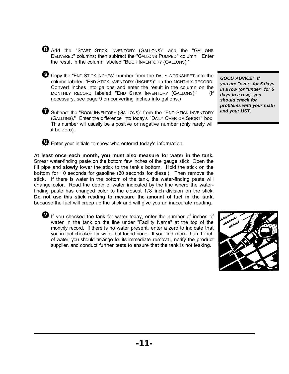Add the "START STICK INVENTORY (GALLONS)" and the "GALLONS DELIVERED" columns; then subtract the "GALLONS PUMPED" column. Enter the result in the column labeled "BOOK INVENTORY (GALLONS)."

 Copy the "END STICK INCHES" number from the DAILY WORKSHEET into the column labeled "END STICK INVENTORY (INCHES)" on the MONTHLY RECORD. Convert inches into gallons and enter the result in the column on the MONTHLY RECORD labeled "END STICK INVENTORY (GALLONS)." (If necessary, see page 9 on converting inches into gallons.)

 Subtract the "BOOK INVENTORY (GALLONS)" from the "END STICK INVENTORY (GALLONS)." Enter the difference into today's "DAILY OVER OR SHORT" box. This number will usually be a positive or negative number (only rarely will it be zero).

 *you are "over" for 5 days in a row (or "under" for 5 days in a row), you should check for problems with your math and your UST. GOOD ADVICE: If* 

Enter your initials to show who entered today's information.

 **At least once each month, you must also measure for water in the tank.**  Smear water-finding paste on the bottom few inches of the gauge stick. Open the fill pipe and **slowly** lower the stick to the tank's bottom. Hold the stick on the bottom for 10 seconds for gasoline (30 seconds for diesel). Then remove the stick. If there is water in the bottom of the tank, the water-finding paste will change color. Read the depth of water indicated by the line where the water- finding paste has changed color to the closest 1/8 inch division on the stick.  **Do not use this stick reading to measure the amount of fuel in the tank**, because the fuel will creep up the stick and will give you an inaccurate reading.

 If you checked the tank for water today, enter the number of inches of water in the tank on the line under "Facility Name" at the top of the monthly record. If there is no water present, enter a zero to indicate that you in fact checked for water but found none. If you find more than 1 inch of water, you should arrange for its immediate removal, notify the product supplier, and conduct further tests to ensure that the tank is not leaking.

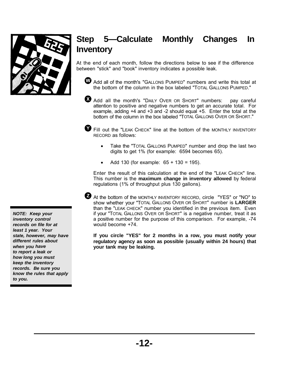

### **Step 5—Calculate Monthly Changes In Inventory**

 At the end of each month, follow the directions below to see if the difference between "stick" and "book" inventory indicates a possible leak.

 Add all of the month's "GALLONS PUMPED" numbers and write this total at the bottom of the column in the box labeled "TOTAL GALLONS PUMPED."

 Add all the month's "DAILY OVER OR SHORT" numbers: pay careful attention to positive and negative numbers to get an accurate total. For example, adding +4 and +3 and -2 should equal +5. Enter the total at the bottom of the column in the box labeled "TOTAL GALLONS OVER OR SHORT."

 Fill out the "LEAK CHECK" line at the bottom of the MONTHLY INVENTORY RECORD as follows:

- digits to get 1% (for example: 6594 becomes 65). Take the "TOTAL GALLONS PUMPED" number and drop the last two
- $\bullet$ Add 130 (for example:  $65 + 130 = 195$ ).

 Enter the result of this calculation at the end of the "LEAK CHECK" line. This number is the **maximum change in inventory allowed** by federal regulations (1% of throughput plus 130 gallons).

 At the bottom of the MONTHLY INVENTORY RECORD, circle "YES" or "NO" to show whether your "TOTAL GALLONS OVER OR SHORT" number is **LARGER**  than the "LEAK CHECK" number you identified in the previous item. Even if your "TOTAL GALLONS OVER OR SHORT" is a negative number, treat it as a positive number for the purpose of this comparison. For example, -74 would become +74.

 **If you circle "YES" for 2 months in a row, you must notify your regulatory agency as soon as possible (usually within 24 hours) that your tank may be leaking.** 

 *NOTE: Keep your records on file for at least 1 year. Your state, however, may have different rules about when you have to report a leak or how long you must keep the inventory records. Be sure you know the rules that apply inventory control to you.*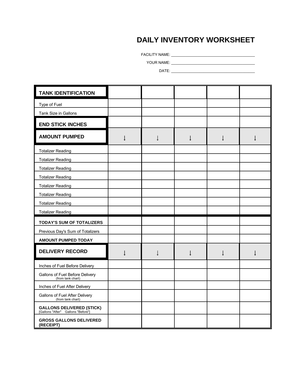### **DAILY INVENTORY WORKSHEET**

FACILITY NAME: \_\_\_\_\_\_\_\_\_\_\_\_\_\_\_\_\_\_\_\_\_\_\_\_\_\_\_\_\_\_\_\_\_\_\_\_\_\_\_\_\_

YOUR NAME: \_\_\_\_\_\_\_\_\_\_\_\_\_\_\_\_\_\_\_\_\_\_\_\_\_\_\_\_\_\_\_\_\_\_\_\_\_\_\_\_\_

DATE: \_\_\_\_\_\_\_\_\_\_\_\_\_\_\_\_\_\_\_\_\_\_\_\_\_\_\_\_\_\_\_\_\_\_\_\_\_\_\_\_\_

| <b>TANK IDENTIFICATION</b>                                             |   |  |              |  |
|------------------------------------------------------------------------|---|--|--------------|--|
| Type of Fuel                                                           |   |  |              |  |
| Tank Size in Gallons                                                   |   |  |              |  |
| <b>END STICK INCHES</b>                                                |   |  |              |  |
| <b>AMOUNT PUMPED</b>                                                   | Ţ |  | $\downarrow$ |  |
| <b>Totalizer Reading</b>                                               |   |  |              |  |
| <b>Totalizer Reading</b>                                               |   |  |              |  |
| <b>Totalizer Reading</b>                                               |   |  |              |  |
| <b>Totalizer Reading</b>                                               |   |  |              |  |
| <b>Totalizer Reading</b>                                               |   |  |              |  |
| <b>Totalizer Reading</b>                                               |   |  |              |  |
| <b>Totalizer Reading</b>                                               |   |  |              |  |
| <b>Totalizer Reading</b>                                               |   |  |              |  |
| <b>TODAY'S SUM OF TOTALIZERS</b>                                       |   |  |              |  |
| Previous Day's Sum of Totalizers                                       |   |  |              |  |
| <b>AMOUNT PUMPED TODAY</b>                                             |   |  |              |  |
| <b>DELIVERY RECORD</b>                                                 |   |  |              |  |
| Inches of Fuel Before Delivery                                         |   |  |              |  |
| Gallons of Fuel Before Delivery<br>(from tank chart)                   |   |  |              |  |
| Inches of Fuel After Delivery                                          |   |  |              |  |
| Gallons of Fuel After Delivery<br>(from tank chart)                    |   |  |              |  |
| <b>GALLONS DELIVERED (STICK)</b><br>[Gallons "After" Gallons "Before"] |   |  |              |  |
| <b>GROSS GALLONS DELIVERED</b><br>(RECEIPT)                            |   |  |              |  |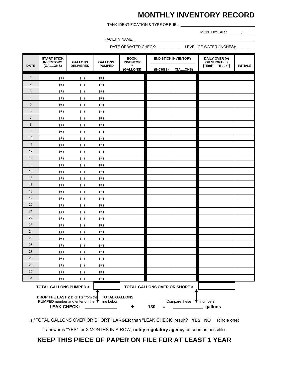### **MONTHLY INVENTORY RECORD**

TANK IDENTIFICATION & TYPE OF FUEL: \_\_\_\_\_\_\_\_\_\_\_\_\_\_\_\_\_\_\_\_\_\_\_\_\_\_\_\_\_\_\_\_\_\_\_\_

MONTH/YEAR :  $\qquad$ 

FACILITY NAME:

DATE OF WATER CHECK: \_\_\_\_\_\_\_\_\_\_\_ LEVEL OF WATER (INCHES):\_\_\_\_\_\_\_\_\_

| <b>DATE</b>    | <b>START STICK</b><br><b>INVENTORY</b><br>(GALLONS)                                         | <b>GALLONS</b><br><b>DELIVERED</b> | <b>GALLONS</b><br><b>PUMPED</b> | <b>BOOK</b><br><b>END STICK INVENTORY</b><br><b>INVENTOR</b><br>Y |                               | DAILY OVER (+)<br>OR SHORT ()<br>["End" "Book"] | <b>INITIALS</b> |  |
|----------------|---------------------------------------------------------------------------------------------|------------------------------------|---------------------------------|-------------------------------------------------------------------|-------------------------------|-------------------------------------------------|-----------------|--|
|                |                                                                                             |                                    |                                 | (GALLONS)                                                         |                               | (INCHES) <sup>(</sup> GALLONS)                  |                 |  |
| $\mathbf{1}$   | $(+)$                                                                                       | (                                  | $(=)$                           |                                                                   |                               |                                                 |                 |  |
| $\sqrt{2}$     | $^{(+)}$                                                                                    |                                    | $(=)$                           |                                                                   |                               |                                                 |                 |  |
| 3              | $^{(+)}$                                                                                    |                                    | $(=)$                           |                                                                   |                               |                                                 |                 |  |
| $\overline{4}$ | $^{(+)}$                                                                                    | $\rightarrow$                      | $(=)$                           |                                                                   |                               |                                                 |                 |  |
| 5              | $^{(+)}$                                                                                    | ()                                 | $(=)$                           |                                                                   |                               |                                                 |                 |  |
| $\,6$          | $^{(+)}$                                                                                    | $\left( \quad \right)$             | $(=)$                           |                                                                   |                               |                                                 |                 |  |
| $\overline{7}$ | $^{(+)}$                                                                                    | (                                  | $(=)$                           |                                                                   |                               |                                                 |                 |  |
| 8              | $^{(+)}$                                                                                    | $($ )                              | $(=)$                           |                                                                   |                               |                                                 |                 |  |
| 9              | $(+)$                                                                                       | $\rightarrow$                      | $(=)$                           |                                                                   |                               |                                                 |                 |  |
| 10             | $^{(+)}$                                                                                    | (                                  | $(=)$                           |                                                                   |                               |                                                 |                 |  |
| 11             | $(+)$                                                                                       |                                    | $(=)$                           |                                                                   |                               |                                                 |                 |  |
| 12             | $^{(+)}$                                                                                    |                                    | $(=)$                           |                                                                   |                               |                                                 |                 |  |
| 13             | $^{(+)}$                                                                                    |                                    | $(=)$                           |                                                                   |                               |                                                 |                 |  |
| 14             | $^{(+)}$                                                                                    | $\left( \quad \right)$             | $(=)$                           |                                                                   |                               |                                                 |                 |  |
| 15             | $(+)$                                                                                       | ( )                                | $(=)$                           |                                                                   |                               |                                                 |                 |  |
| 16             | $^{(+)}$                                                                                    |                                    | $(=)$                           |                                                                   |                               |                                                 |                 |  |
| 17             | $(+)$                                                                                       | (                                  | $(=)$                           |                                                                   |                               |                                                 |                 |  |
| 18             | $^{(+)}$                                                                                    | (                                  | $(=)$                           |                                                                   |                               |                                                 |                 |  |
| 19             | $(+)$                                                                                       |                                    | $(=)$                           |                                                                   |                               |                                                 |                 |  |
| 20             | $^{(+)}$                                                                                    |                                    | $(=)$                           |                                                                   |                               |                                                 |                 |  |
| 21             | $(+)$                                                                                       | (                                  | $(=)$                           |                                                                   |                               |                                                 |                 |  |
| 22             | $(+)$                                                                                       |                                    | $(=)$                           |                                                                   |                               |                                                 |                 |  |
| 23             | $^{(+)}$                                                                                    | $\left( \quad \right)$             | $(=)$                           |                                                                   |                               |                                                 |                 |  |
| 24             | $^{(+)}$                                                                                    | (                                  | $(=)$                           |                                                                   |                               |                                                 |                 |  |
| 25             | $^{(+)}$                                                                                    | $\rightarrow$                      | $(=)$                           |                                                                   |                               |                                                 |                 |  |
| 26             | $(+)$                                                                                       | (                                  | $(=)$                           |                                                                   |                               |                                                 |                 |  |
| 27             | $^{(+)}$                                                                                    | $\rightarrow$                      | $(=)$                           |                                                                   |                               |                                                 |                 |  |
| 28             | $^{(+)}$                                                                                    | $\left( \quad \right)$             | $(=)$                           |                                                                   |                               |                                                 |                 |  |
| 29             | $(+)$                                                                                       | ( )                                | $(=)$                           |                                                                   |                               |                                                 |                 |  |
| 30             | $^{(+)}$                                                                                    | (                                  | $(=)$                           |                                                                   |                               |                                                 |                 |  |
| 31             | $(+)$                                                                                       | $\rightarrow$                      | $(=)$                           |                                                                   |                               |                                                 |                 |  |
|                | <b>TOTAL GALLONS PUMPED &gt;</b><br>DROP THE LAST 2 DIGITS from the TOTAL GALLONS           |                                    |                                 |                                                                   | TOTAL GALLONS OVER OR SHORT > |                                                 |                 |  |
|                | <b>PUMPED</b> number and enter on the $\blacktriangledown$ line below<br><b>LEAK CHECK:</b> |                                    |                                 | ٠                                                                 | 130<br>$\equiv$               | Compare these $\blacktriangledown$ numbers      | gallons         |  |

Is "TOTAL GALLONS OVER OR SHORT" **LARGER** than "LEAK CHECK" result? **YES NO** (circle one)

If answer is "YES" for 2 MONTHS IN A ROW, **notify regulatory agency** as soon as possible.

**KEEP THIS PIECE OF PAPER ON FILE FOR AT LEAST 1 YEAR**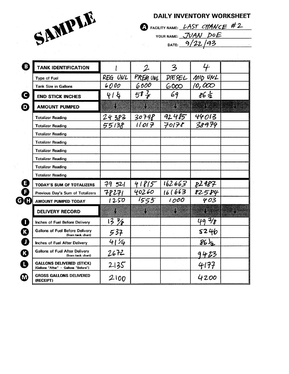

**DAILY INVENTORY WORKSHEET** 

S FACILITY NAME: LAST CHANCE #2 YOUR NAME: JUAN DOE DATE:  $9/22/93$ 

| <b>TANK IDENTIFICATION</b>                                               |                 | $\mathcal{L}% _{G}(\theta)=\mathcal{L}_{G}(\theta)$ | 3                        |                 |     |
|--------------------------------------------------------------------------|-----------------|-----------------------------------------------------|--------------------------|-----------------|-----|
| <b>Type of Fuel</b>                                                      | REG UNL         | PREM UNL                                            | DIESEL                   | MID UNL         |     |
| <b>Tank Size in Gallons</b>                                              | 6000            | 6000                                                | 6000                     | 10,000          |     |
| <b>END STICK INCHES</b>                                                  | 414             | $58\frac{7}{5}$                                     | 69                       | 862             |     |
| <b>AMOUNT PUMPED</b>                                                     |                 |                                                     | ł                        | 38              | N)  |
| <b>Totalizer Reading</b>                                                 | 24383           | 30798                                               | $92485$ 44013            |                 |     |
| <b>Totalizer Reading</b>                                                 | 55138           | 11017                                               | 70178                    | 38974           |     |
| <b>Totalizer Reading</b>                                                 |                 |                                                     |                          |                 |     |
| <b>Totalizer Reading</b>                                                 |                 |                                                     |                          |                 |     |
| <b>Totalizer Reading</b>                                                 |                 |                                                     |                          |                 |     |
| <b>Totalizer Reading</b>                                                 |                 |                                                     |                          |                 |     |
| <b>Totalizer Reading</b>                                                 |                 |                                                     |                          |                 |     |
| <b>Totalizer Reading</b>                                                 |                 |                                                     |                          |                 |     |
| <b>TODAY'S SUM OF TOTALIZERS</b>                                         | 79521           |                                                     | $41815$ $162663$ $82987$ |                 |     |
| Previous Day's Sum of Totalizers                                         | 78271           | 40260                                               | 16 (663)                 | 82584           |     |
| AMOUNT PUMPED TODAY                                                      | 1250            | 1555                                                | 1000                     | 403             |     |
| <b>DELIVERY RECORD</b>                                                   |                 |                                                     |                          | E Service de    | . 5 |
| Inches of Fuel Before Delivery                                           | $13\frac{7}{8}$ |                                                     |                          | $49 - 78$       |     |
| <b>Gallons of Fuel Before Delivery</b><br>(from tank chart)              | 537             |                                                     |                          | 5246            |     |
| <b>Inches of Fuel After Delivery</b>                                     | 41/4            |                                                     |                          | $86\frac{1}{2}$ |     |
| <b>Gallons of Fuel After Delivery</b><br>(from tank chart)               | 2672            |                                                     |                          | <u>9423</u>     |     |
| <b>GALLONS DELIVERED (STICK)</b><br>[Gallons "After" - Gallons "Before"] | 2135            |                                                     |                          | 4177            |     |
| <b>GROSS GALLONS DELIVERED</b><br>(RECEIPT)                              | 2100            |                                                     |                          | 4200            |     |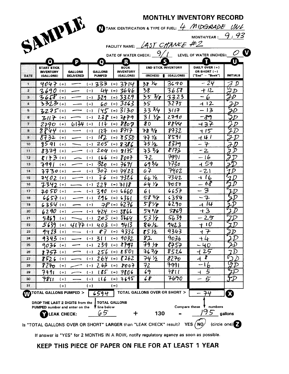|                                                                   |                  |                               |                                      |                               |               | <b>MONTHLY INVENTORY RECORD</b>                             |                            |
|-------------------------------------------------------------------|------------------|-------------------------------|--------------------------------------|-------------------------------|---------------|-------------------------------------------------------------|----------------------------|
| SAMPLE                                                            |                  |                               |                                      |                               |               | TANK IDENTIFICATION & TYPE OF FUEL: $4$ <i>MIDGRADE UNL</i> |                            |
|                                                                   |                  |                               |                                      |                               |               | MONTH/YEAR : $-9, 93$                                       |                            |
|                                                                   |                  |                               |                                      | FACILITY NAME: 45T CHANCE #2  |               |                                                             |                            |
|                                                                   |                  |                               | DATE OF WATER CHECK: $\frac{9}{100}$ |                               |               | LEVEL OF WATER (INCHES):                                    |                            |
| O                                                                 | D                | $\overline{O}$                | R                                    |                               |               |                                                             | U                          |
| START STICK<br><b>INVENTORY</b>                                   | <b>GALLONS</b>   | <b>GALLONS</b>                | <b>BOOK</b><br><b>INVENTORY</b>      | <b>END STICK INVENTORY</b>    |               | DAILY OVER (+)<br>OR SHORT (-)                              |                            |
| DATE<br>(GALLONS)                                                 | <b>DELIVERED</b> | PUMPED                        | (GALLONS)                            | (INCHES)                      | (GALLONS)     | ["End" - "Book"]                                            | <b>INITIALS</b>            |
| $4047$ (+)                                                        |                  | $(-)$ 333 (=) 3714            |                                      | $38\,$ $\frac{1}{4}$          | 3690          | $-24$                                                       | D                          |
| $3690$ (+)                                                        |                  | $(-)$                         | $44$ (=) $3646$                      | 38                            | 3658          | $+12.$                                                      | $\boldsymbol{\mathcal{D}}$ |
| $3658$ (+)                                                        |                  | 329<br>$(-)$                  | $(-)$ 3329                           | 3536                          | 3323          | 6                                                           | ĿD                         |
| 3323(1)                                                           |                  | $(-)$                         | $60$ (=) $3263$                      | 35<br>333/4                   | 3275          | 412<br>- 13                                                 | LΡ                         |
| $3275$ (+)                                                        |                  | $(-)$                         | $145$ (=) 3130<br>$238$ (=) $2879$   | 31<br>Yp.                     | 3117<br>2790  | -89                                                         |                            |
| $317$ (+)<br>2790 (+)                                             | $6134$ (-)       | $(-)$<br>$11 +$               | $(-) 8807$                           | 80                            | 8844          | $+37$                                                       |                            |
| 8844                                                              | $(+)$            | 127<br>$(-)$                  | $(-)$ 8717                           | 787/                          | 8732          | $+15$                                                       | $\mathcal D$               |
| 8732                                                              | $(+)$            | 182<br>$(-)$                  | $(-) 8550$                           | $77\frac{1}{2}$               | 8591          | 44 I                                                        |                            |
| 8591                                                              | $(+)$            | $(-)$                         | $205$ (=) 8386                       | $75\,\mathrm{Hz}$             | 8379          | $-7$                                                        |                            |
| 8379                                                              | $(+)$            | 204<br>$(-)$                  | $(=)$ 8175                           | $73\%$                        | 8173          | $-2$                                                        |                            |
| $8173(+)$<br>12.                                                  |                  | 166<br>$(-)$                  | $(-)$ 8007                           | 72                            | 7991          | -16                                                         |                            |
| 7991                                                              | $(+)$            | $\overline{320}$<br>$(-)$     | $(=)$ 7671                           | 693/4                         | 7730          | $-159$                                                      | Ð                          |
| $7730(+)$                                                         |                  | 307<br>$(-)$                  | $(=)$ 7423                           | 67                            | 7402          | $-21$                                                       |                            |
| $7402$ (+)                                                        |                  | 76<br>$(-)$                   | $(-)$ 7326                           | 6612                          | 7342          | $+16$                                                       |                            |
| 7342 (+)                                                          |                  | 224<br>$(-)$                  | $(-)$ 7 $18$                         | $64\%$                        | 7050          | $-68$                                                       |                            |
| $7050$ (+)<br>17                                                  |                  | 390<br>$(-)$                  | $(-) 6660$                           | 61                            | 6657          | $\overline{\mathcal{B}}$<br>$\overline{\phantom{0}}$        |                            |
| $6657$ (+)                                                        |                  | 296<br>$(-)$                  | $(-) 6361$                           | 58 5/8                        | 6354          | $-7$                                                        | D                          |
| 6354 (+)                                                          |                  | $(-)$                         | $78$ (=) 6276                        | 5818                          | 6290          | $+1\overline{4}$                                            |                            |
| $6290$ (+)<br>20                                                  |                  | $(-)$ 424 $(=)$ 5866          |                                      | 543/8                         | 5869          | $+3$                                                        |                            |
| 5869                                                              | $(+)$            |                               | $205$ (=) $5664$                     | $53\%$<br>86½                 | 5639<br>9423  | <u> 25</u><br>$+10$                                         | 2D                         |
| 5639 (+)<br>$22 \,$<br>9423 (+)<br>23                             |                  | $4177$ (-) 403 (=) 9413<br>87 | 9336<br>$(=)$                        | 85 Yz                         | 9343          | ィア                                                          | $\mathcal D$               |
| 9343                                                              | $(+)$            | $(-)$<br>31 I<br>$(-)$        | $(-) 9032$                           | 82                            | 9036          | +4                                                          |                            |
| 9036                                                              | $(+)$            | 239<br>$(-)$                  | 8797<br>$( = )$                      | $79\,\mathrm{K}$              | くそうそ          | -40                                                         |                            |
| 8757 (+)<br>26                                                    |                  | 256<br>$(-)$                  | $(-) 850$                            | 767/                          | 8526          | 25                                                          | D                          |
| 8526                                                              | $(+)$            | 264<br>$(-)$                  | $(-)$ (262)                          | 74 ½                          | 8270          | r<br>ィ                                                      |                            |
| P270<br>28                                                        | $(+)$            | $263$ (=)<br>$(-)$            | 2007                                 | 72                            | 7991          | $-16$                                                       |                            |
| 7991                                                              | $(+)$            | $(-)$                         | $185$ (=) $7806$                     | 69                            | 7811          | 5                                                           |                            |
| 7811                                                              | $(+)$            | 116<br>$(-)$                  | 7695<br>$( = )$                      | 68                            | 7690          | 5<br>--                                                     |                            |
|                                                                   | $(+)$            | $(-)$                         | $(=)$                                |                               |               |                                                             |                            |
| TOTAL GALLONS PUMPED >                                            |                  | 6594                          |                                      | TOTAL GALLONS OVER OR SHORT > |               | 74                                                          | X                          |
| DROP THE LAST 2 DIGITS from the                                   |                  | <b>TOTAL GALLONS</b>          |                                      |                               |               |                                                             |                            |
| PUMPED number and enter on the                                    |                  | ' line below<br>65            |                                      |                               | Compare these | numbers<br>95                                               |                            |
|                                                                   | LEAK CHECK:      |                               | ╈                                    | 130                           |               |                                                             | gallons                    |
| Is "TOTAL GALLONS OVER OR SHORT" LARGER than "LEAK CHECK" result? |                  |                               |                                      |                               |               | YES / NO                                                    | (circle one) <sup>2</sup>  |

KEEP THIS PIECE OF PAPER ON FILE FOR AT LEAST 1 YEAR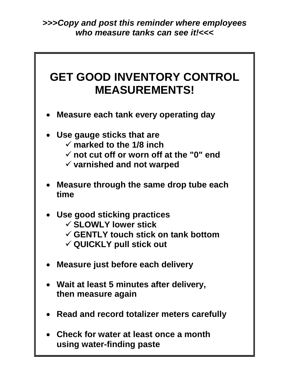**>>>***Copy and post this reminder where employees who measure tanks can see it!***<<<**



**using water-finding paste**